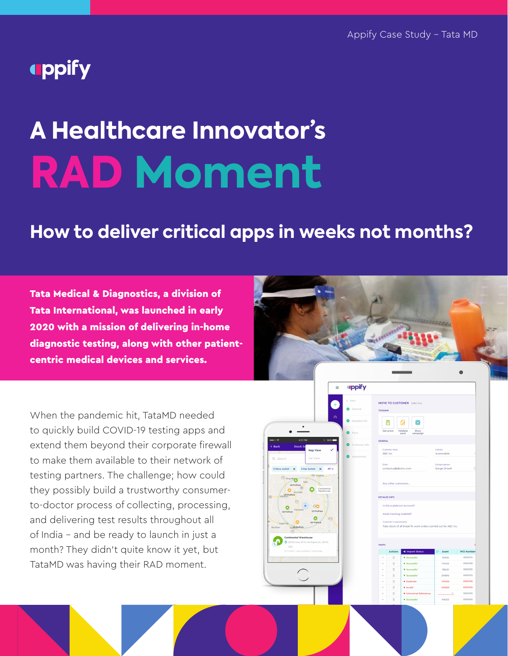## **uppify**

# **A Healthcare Innovator's RAD Moment**

## **How to deliver critical apps in weeks not months?**

Tata Medical & Diagnostics, a division of Tata International, was launched in early 2020 with a mission of delivering in-home diagnostic testing, along with other patientcentric medical devices and services.



When the pandemic hit, TataMD needed to quickly build COVID-19 testing apps and extend them beyond their corporate firewall to make them available to their network of testing partners. The challenge; how could they possibly build a trustworthy consumerto-doctor process of collecting, processing, and delivering test results throughout all of India – and be ready to launch in just a month? They didn't quite know it yet, but TataMD was having their RAD moment.



| <b>TOOLBAR</b> |                             |                                            |                                                                  |                    |
|----------------|-----------------------------|--------------------------------------------|------------------------------------------------------------------|--------------------|
|                |                             |                                            |                                                                  |                    |
|                | 旧<br>Get price              | ස<br>Validate<br>Show<br>asset<br>campaign |                                                                  |                    |
| <b>GENERAL</b> |                             |                                            |                                                                  |                    |
|                | Customer name<br>ABC Inc.   |                                            | <b>Industry</b><br>Automobile                                    |                    |
| Email          | contactus@abcinc.com        |                                            | Contact person<br>Gorge Orwell                                   |                    |
|                | Any other comments          |                                            |                                                                  |                    |
|                | <b>DETAILED INFO</b>        |                                            |                                                                  |                    |
|                | Is this a platinum account? |                                            |                                                                  |                    |
|                | Asset tracking enabled?     |                                            |                                                                  |                    |
|                | Customer's requirements     |                                            | Take stock of all break-fix work orders carried out for ABC Inc. |                    |
|                |                             |                                            |                                                                  |                    |
| <b>PARTS</b>   |                             |                                            |                                                                  |                    |
| ÷              | <b>Actions</b>              | Import Status                              | ⊳<br>Asset                                                       | <b>WO Number</b>   |
| $\sim$         | Ġ                           | · Successful                               | 123456                                                           | 0000076            |
| ö              | 亩<br>亩                      | · Successful<br>· Successful               | 1115432<br>138430                                                | 0000038<br>0000035 |
|                | 贷                           | · Successful                               | 294890                                                           | 0000070            |
|                | Ū                           | · Duplicate                                | 1115432                                                          | 0000036            |